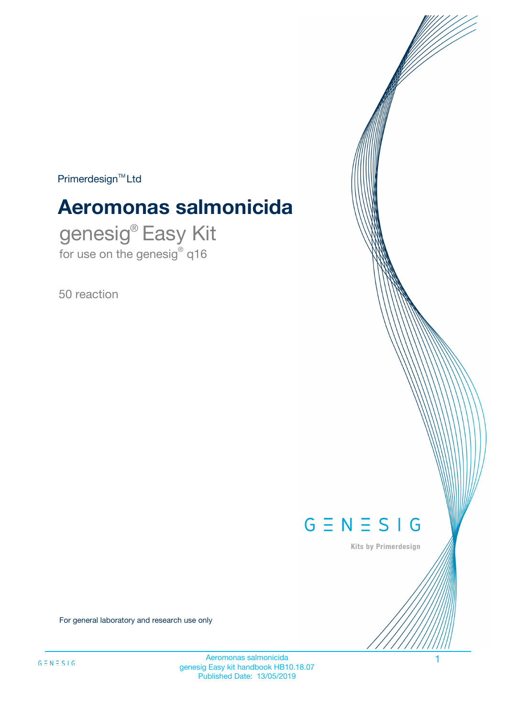$Primerdesign^{\text{TM}}Ltd$ 

# **Aeromonas salmonicida**

genesig® Easy Kit for use on the genesig® q16

50 reaction



Kits by Primerdesign

For general laboratory and research use only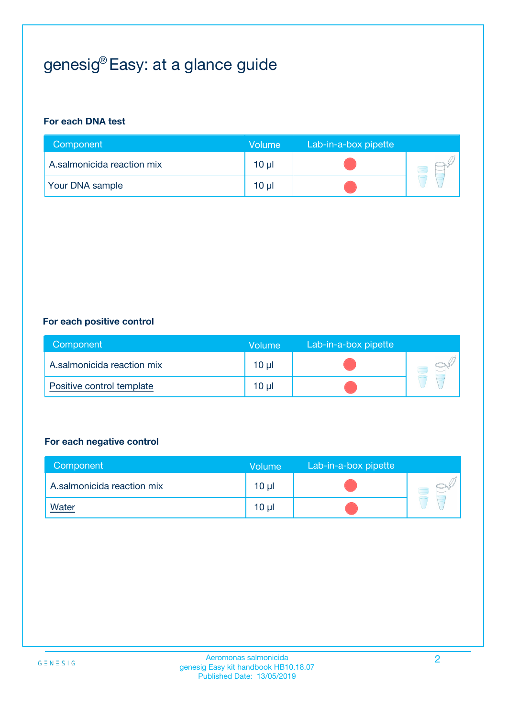# genesig® Easy: at a glance guide

#### **For each DNA test**

| Component                  | <b>Volume</b> | Lab-in-a-box pipette |  |
|----------------------------|---------------|----------------------|--|
| A.salmonicida reaction mix | 10 µl         |                      |  |
| <b>Your DNA sample</b>     | 10 µl         |                      |  |

#### **For each positive control**

| Component                  | Volume          | Lab-in-a-box pipette |  |
|----------------------------|-----------------|----------------------|--|
| A.salmonicida reaction mix | 10 <sub>µ</sub> |                      |  |
| Positive control template  | 10 <sub>µ</sub> |                      |  |

#### **For each negative control**

| Component                  | <b>Volume</b>   | Lab-in-a-box pipette |  |
|----------------------------|-----------------|----------------------|--|
| A.salmonicida reaction mix | 10 <sub>µ</sub> |                      |  |
| <u>Water</u>               | 10 <sub>µ</sub> |                      |  |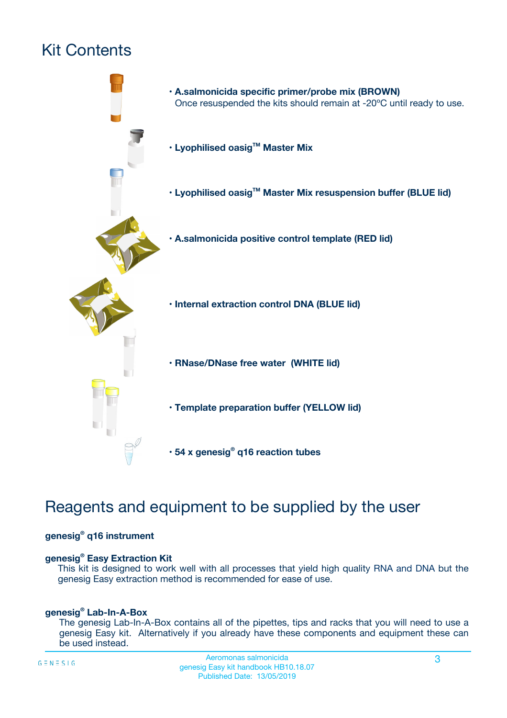## Kit Contents



## Reagents and equipment to be supplied by the user

#### **genesig® q16 instrument**

#### **genesig® Easy Extraction Kit**

This kit is designed to work well with all processes that yield high quality RNA and DNA but the genesig Easy extraction method is recommended for ease of use.

#### **genesig® Lab-In-A-Box**

The genesig Lab-In-A-Box contains all of the pipettes, tips and racks that you will need to use a genesig Easy kit. Alternatively if you already have these components and equipment these can be used instead.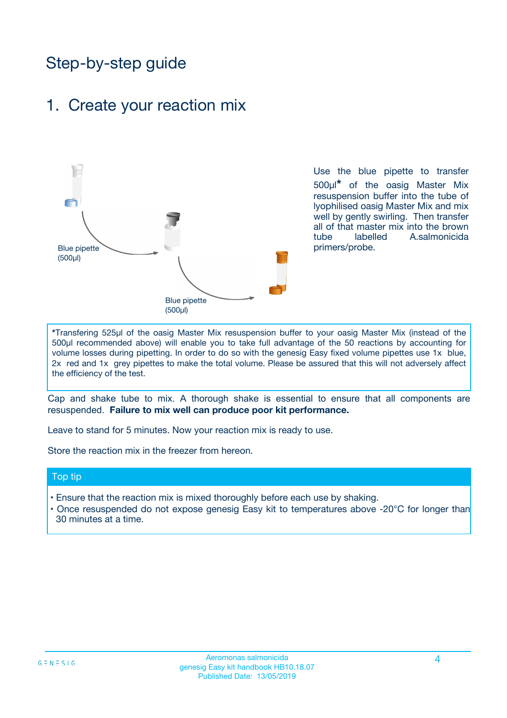## Step-by-step guide

### 1. Create your reaction mix



Use the blue pipette to transfer 500µl**\*** of the oasig Master Mix resuspension buffer into the tube of lyophilised oasig Master Mix and mix well by gently swirling. Then transfer all of that master mix into the brown tube labelled A.salmonicida primers/probe.

**\***Transfering 525µl of the oasig Master Mix resuspension buffer to your oasig Master Mix (instead of the 500µl recommended above) will enable you to take full advantage of the 50 reactions by accounting for volume losses during pipetting. In order to do so with the genesig Easy fixed volume pipettes use 1x blue, 2x red and 1x grey pipettes to make the total volume. Please be assured that this will not adversely affect the efficiency of the test.

Cap and shake tube to mix. A thorough shake is essential to ensure that all components are resuspended. **Failure to mix well can produce poor kit performance.**

Leave to stand for 5 minutes. Now your reaction mix is ready to use.

Store the reaction mix in the freezer from hereon.

#### Top tip

- Ensure that the reaction mix is mixed thoroughly before each use by shaking.
- **•** Once resuspended do not expose genesig Easy kit to temperatures above -20°C for longer than 30 minutes at a time.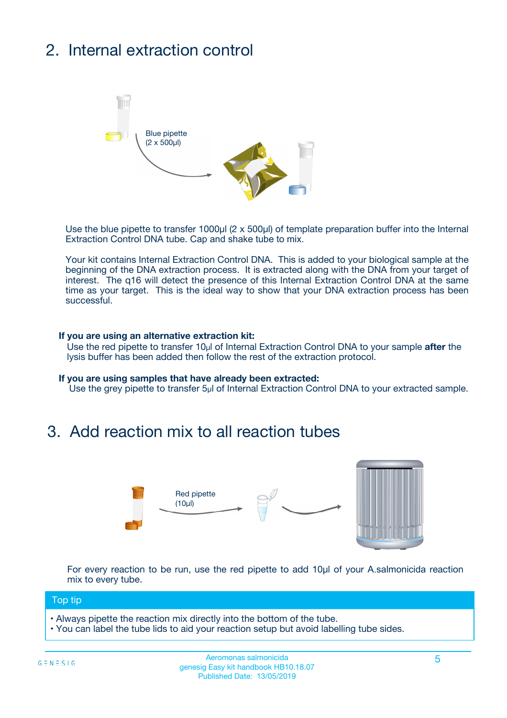## 2. Internal extraction control



Use the blue pipette to transfer 1000µl (2 x 500µl) of template preparation buffer into the Internal Extraction Control DNA tube. Cap and shake tube to mix.

Your kit contains Internal Extraction Control DNA. This is added to your biological sample at the beginning of the DNA extraction process. It is extracted along with the DNA from your target of interest. The q16 will detect the presence of this Internal Extraction Control DNA at the same time as your target. This is the ideal way to show that your DNA extraction process has been **successful.** 

#### **If you are using an alternative extraction kit:**

Use the red pipette to transfer 10µl of Internal Extraction Control DNA to your sample **after** the lysis buffer has been added then follow the rest of the extraction protocol.

#### **If you are using samples that have already been extracted:**

Use the grey pipette to transfer 5µl of Internal Extraction Control DNA to your extracted sample.

### 3. Add reaction mix to all reaction tubes



For every reaction to be run, use the red pipette to add 10µl of your A.salmonicida reaction mix to every tube.

#### Top tip

- Always pipette the reaction mix directly into the bottom of the tube.
- You can label the tube lids to aid your reaction setup but avoid labelling tube sides.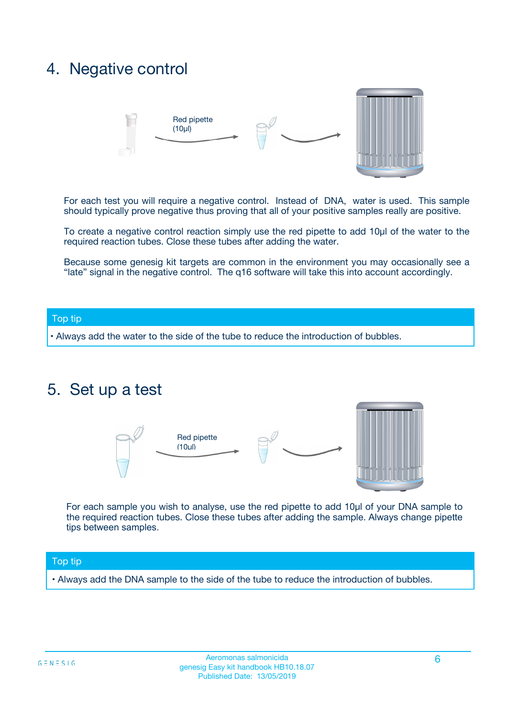### 4. Negative control



For each test you will require a negative control. Instead of DNA, water is used. This sample should typically prove negative thus proving that all of your positive samples really are positive.

To create a negative control reaction simply use the red pipette to add 10µl of the water to the required reaction tubes. Close these tubes after adding the water.

Because some genesig kit targets are common in the environment you may occasionally see a "late" signal in the negative control. The q16 software will take this into account accordingly.

#### Top tip

**•** Always add the water to the side of the tube to reduce the introduction of bubbles.

### 5. Set up a test



For each sample you wish to analyse, use the red pipette to add 10µl of your DNA sample to the required reaction tubes. Close these tubes after adding the sample. Always change pipette tips between samples.

#### Top tip

**•** Always add the DNA sample to the side of the tube to reduce the introduction of bubbles.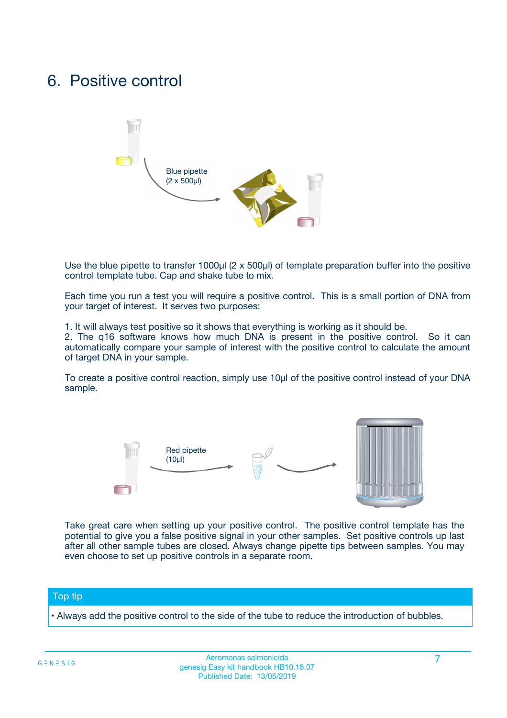### 6. Positive control



Use the blue pipette to transfer 1000µl (2 x 500µl) of template preparation buffer into the positive control template tube. Cap and shake tube to mix.

Each time you run a test you will require a positive control. This is a small portion of DNA from your target of interest. It serves two purposes:

1. It will always test positive so it shows that everything is working as it should be.

2. The q16 software knows how much DNA is present in the positive control. So it can automatically compare your sample of interest with the positive control to calculate the amount of target DNA in your sample.

To create a positive control reaction, simply use 10µl of the positive control instead of your DNA sample.



Take great care when setting up your positive control. The positive control template has the potential to give you a false positive signal in your other samples. Set positive controls up last after all other sample tubes are closed. Always change pipette tips between samples. You may even choose to set up positive controls in a separate room.

#### Top tip

**•** Always add the positive control to the side of the tube to reduce the introduction of bubbles.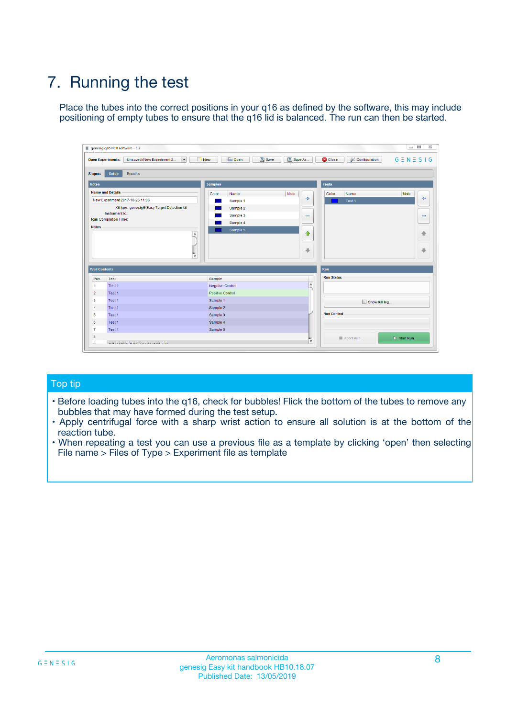## 7. Running the test

Place the tubes into the correct positions in your q16 as defined by the software, this may include positioning of empty tubes to ensure that the q16 lid is balanced. The run can then be started.

| genesig q16 PCR software - 1.2                                               |                                     | $\Box$                                                                                  |
|------------------------------------------------------------------------------|-------------------------------------|-----------------------------------------------------------------------------------------|
| Unsaved (New Experiment 2<br>$\vert \cdot \vert$<br><b>Open Experiments:</b> | <b>D</b> Open<br>Save<br>$\Box$ New | Save As<br><b>C</b> Close<br>$G \equiv N \equiv S \mid G$<br><b>&amp; Configuration</b> |
| Setup<br><b>Results</b><br><b>Stages:</b>                                    |                                     |                                                                                         |
| <b>Notes</b>                                                                 | Samples                             | <b>Tests</b>                                                                            |
| <b>Name and Details</b>                                                      | Color<br>Name                       | Note<br>Color<br>Note<br>Name                                                           |
| New Experiment 2017-10-26 11:06                                              | Sample 1                            | 条<br>علي<br>Test 1                                                                      |
| Kit type: genesig® Easy Target Detection kit                                 | Sample 2                            |                                                                                         |
| Instrument Id.:                                                              | Sample 3                            | $\qquad \qquad \blacksquare$<br>$\qquad \qquad \blacksquare$                            |
| Run Completion Time:                                                         | Sample 4                            |                                                                                         |
| <b>Notes</b>                                                                 | Sample 5<br>A<br>v                  | $\triangle$<br>4<br>$\oplus$<br>₩                                                       |
| <b>Well Contents</b>                                                         |                                     | <b>Run</b>                                                                              |
| Pos.<br>Test                                                                 | Sample                              | <b>Run Status</b>                                                                       |
| Test 1<br>-1                                                                 | <b>Negative Control</b>             | $\blacktriangle$                                                                        |
| $\overline{2}$<br>Test 1                                                     | <b>Positive Control</b>             |                                                                                         |
| $\overline{\mathbf{3}}$<br>Test 1                                            | Sample 1                            | Show full log                                                                           |
| Test 1<br>$\overline{4}$                                                     | Sample 2                            |                                                                                         |
| 5<br>Test 1                                                                  | Sample 3                            | <b>Run Control</b>                                                                      |
| 6<br>Test 1                                                                  | Sample 4                            |                                                                                         |
| $\overline{7}$<br>Test 1                                                     | Sample 5                            |                                                                                         |
| 8                                                                            |                                     | $\triangleright$ Start Run<br>Abort Run                                                 |
| <b>JOD FURTY TUDE TO BUILDED IN</b>                                          |                                     | $\overline{\mathbf{v}}$                                                                 |

#### Top tip

- Before loading tubes into the q16, check for bubbles! Flick the bottom of the tubes to remove any bubbles that may have formed during the test setup.
- Apply centrifugal force with a sharp wrist action to ensure all solution is at the bottom of the reaction tube.
- When repeating a test you can use a previous file as a template by clicking 'open' then selecting File name > Files of Type > Experiment file as template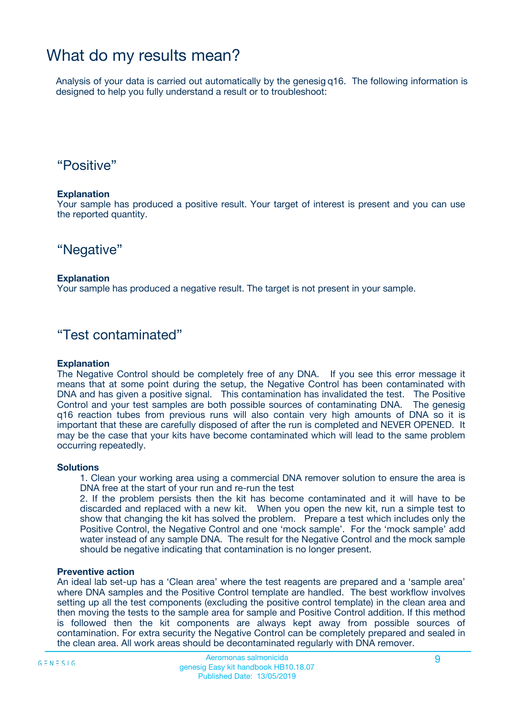### What do my results mean?

Analysis of your data is carried out automatically by the genesig q16. The following information is designed to help you fully understand a result or to troubleshoot:

### "Positive"

#### **Explanation**

Your sample has produced a positive result. Your target of interest is present and you can use the reported quantity.

"Negative"

#### **Explanation**

Your sample has produced a negative result. The target is not present in your sample.

### "Test contaminated"

#### **Explanation**

The Negative Control should be completely free of any DNA. If you see this error message it means that at some point during the setup, the Negative Control has been contaminated with DNA and has given a positive signal. This contamination has invalidated the test. The Positive Control and your test samples are both possible sources of contaminating DNA. The genesig q16 reaction tubes from previous runs will also contain very high amounts of DNA so it is important that these are carefully disposed of after the run is completed and NEVER OPENED. It may be the case that your kits have become contaminated which will lead to the same problem occurring repeatedly.

#### **Solutions**

1. Clean your working area using a commercial DNA remover solution to ensure the area is DNA free at the start of your run and re-run the test

2. If the problem persists then the kit has become contaminated and it will have to be discarded and replaced with a new kit. When you open the new kit, run a simple test to show that changing the kit has solved the problem. Prepare a test which includes only the Positive Control, the Negative Control and one 'mock sample'. For the 'mock sample' add water instead of any sample DNA. The result for the Negative Control and the mock sample should be negative indicating that contamination is no longer present.

#### **Preventive action**

An ideal lab set-up has a 'Clean area' where the test reagents are prepared and a 'sample area' where DNA samples and the Positive Control template are handled. The best workflow involves setting up all the test components (excluding the positive control template) in the clean area and then moving the tests to the sample area for sample and Positive Control addition. If this method is followed then the kit components are always kept away from possible sources of contamination. For extra security the Negative Control can be completely prepared and sealed in the clean area. All work areas should be decontaminated regularly with DNA remover.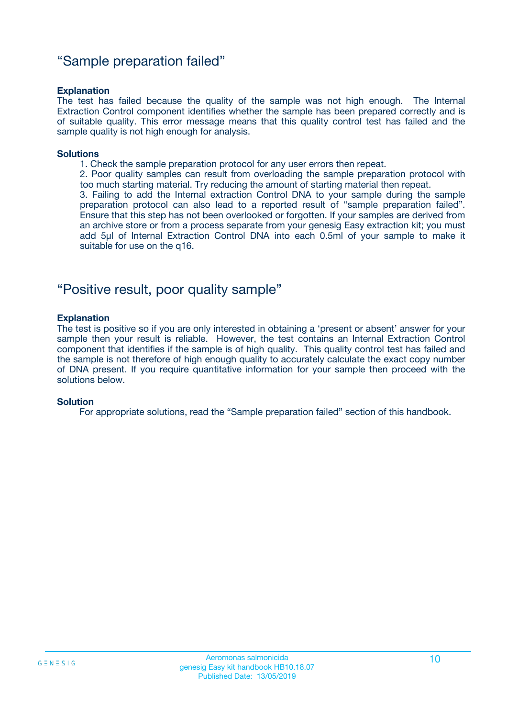### "Sample preparation failed"

#### **Explanation**

The test has failed because the quality of the sample was not high enough. The Internal Extraction Control component identifies whether the sample has been prepared correctly and is of suitable quality. This error message means that this quality control test has failed and the sample quality is not high enough for analysis.

#### **Solutions**

1. Check the sample preparation protocol for any user errors then repeat.

2. Poor quality samples can result from overloading the sample preparation protocol with too much starting material. Try reducing the amount of starting material then repeat.

3. Failing to add the Internal extraction Control DNA to your sample during the sample preparation protocol can also lead to a reported result of "sample preparation failed". Ensure that this step has not been overlooked or forgotten. If your samples are derived from an archive store or from a process separate from your genesig Easy extraction kit; you must add 5µl of Internal Extraction Control DNA into each 0.5ml of your sample to make it suitable for use on the q16.

### "Positive result, poor quality sample"

#### **Explanation**

The test is positive so if you are only interested in obtaining a 'present or absent' answer for your sample then your result is reliable. However, the test contains an Internal Extraction Control component that identifies if the sample is of high quality. This quality control test has failed and the sample is not therefore of high enough quality to accurately calculate the exact copy number of DNA present. If you require quantitative information for your sample then proceed with the solutions below.

#### **Solution**

For appropriate solutions, read the "Sample preparation failed" section of this handbook.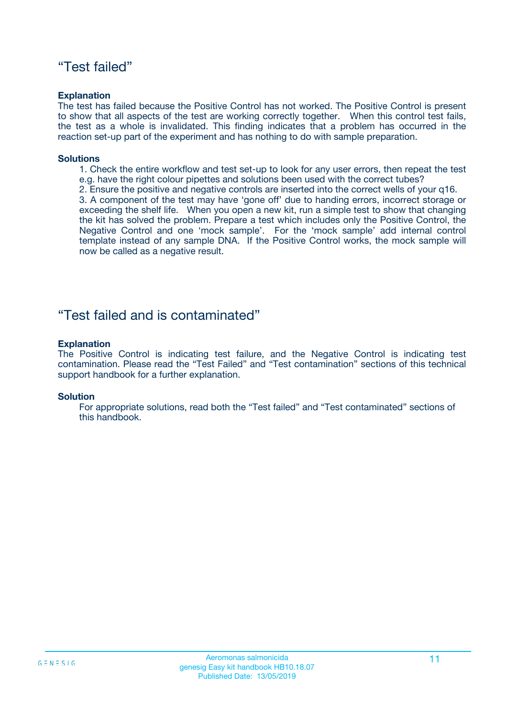### "Test failed"

#### **Explanation**

The test has failed because the Positive Control has not worked. The Positive Control is present to show that all aspects of the test are working correctly together. When this control test fails, the test as a whole is invalidated. This finding indicates that a problem has occurred in the reaction set-up part of the experiment and has nothing to do with sample preparation.

#### **Solutions**

- 1. Check the entire workflow and test set-up to look for any user errors, then repeat the test e.g. have the right colour pipettes and solutions been used with the correct tubes?
- 2. Ensure the positive and negative controls are inserted into the correct wells of your q16.

3. A component of the test may have 'gone off' due to handing errors, incorrect storage or exceeding the shelf life. When you open a new kit, run a simple test to show that changing the kit has solved the problem. Prepare a test which includes only the Positive Control, the Negative Control and one 'mock sample'. For the 'mock sample' add internal control template instead of any sample DNA. If the Positive Control works, the mock sample will now be called as a negative result.

### "Test failed and is contaminated"

#### **Explanation**

The Positive Control is indicating test failure, and the Negative Control is indicating test contamination. Please read the "Test Failed" and "Test contamination" sections of this technical support handbook for a further explanation.

#### **Solution**

For appropriate solutions, read both the "Test failed" and "Test contaminated" sections of this handbook.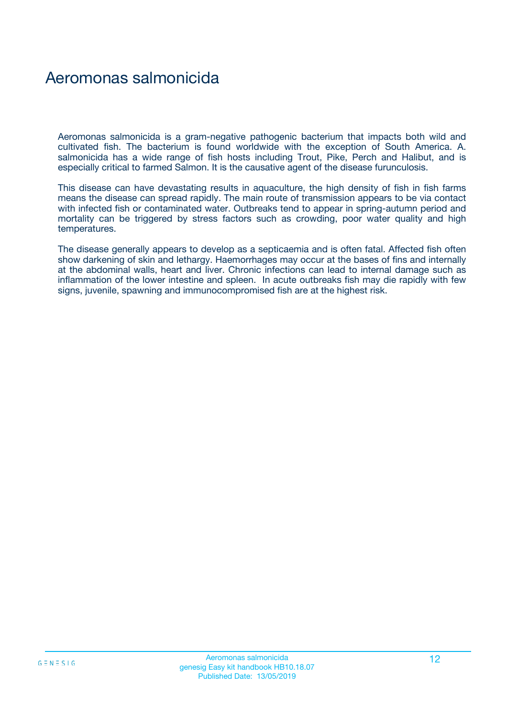### Aeromonas salmonicida

Aeromonas salmonicida is a gram-negative pathogenic bacterium that impacts both wild and cultivated fish. The bacterium is found worldwide with the exception of South America. A. salmonicida has a wide range of fish hosts including Trout, Pike, Perch and Halibut, and is especially critical to farmed Salmon. It is the causative agent of the disease furunculosis.

This disease can have devastating results in aquaculture, the high density of fish in fish farms means the disease can spread rapidly. The main route of transmission appears to be via contact with infected fish or contaminated water. Outbreaks tend to appear in spring-autumn period and mortality can be triggered by stress factors such as crowding, poor water quality and high temperatures.

The disease generally appears to develop as a septicaemia and is often fatal. Affected fish often show darkening of skin and lethargy. Haemorrhages may occur at the bases of fins and internally at the abdominal walls, heart and liver. Chronic infections can lead to internal damage such as inflammation of the lower intestine and spleen. In acute outbreaks fish may die rapidly with few signs, juvenile, spawning and immunocompromised fish are at the highest risk.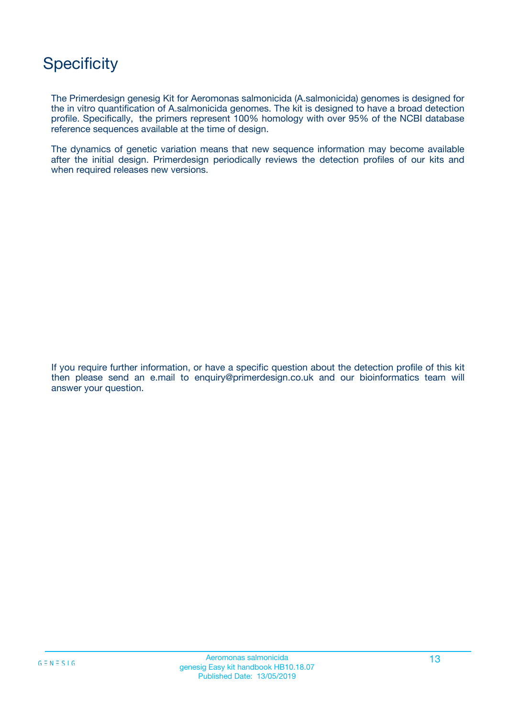## **Specificity**

The Primerdesign genesig Kit for Aeromonas salmonicida (A.salmonicida) genomes is designed for the in vitro quantification of A.salmonicida genomes. The kit is designed to have a broad detection profile. Specifically, the primers represent 100% homology with over 95% of the NCBI database reference sequences available at the time of design.

The dynamics of genetic variation means that new sequence information may become available after the initial design. Primerdesign periodically reviews the detection profiles of our kits and when required releases new versions.

If you require further information, or have a specific question about the detection profile of this kit then please send an e.mail to enquiry@primerdesign.co.uk and our bioinformatics team will answer your question.